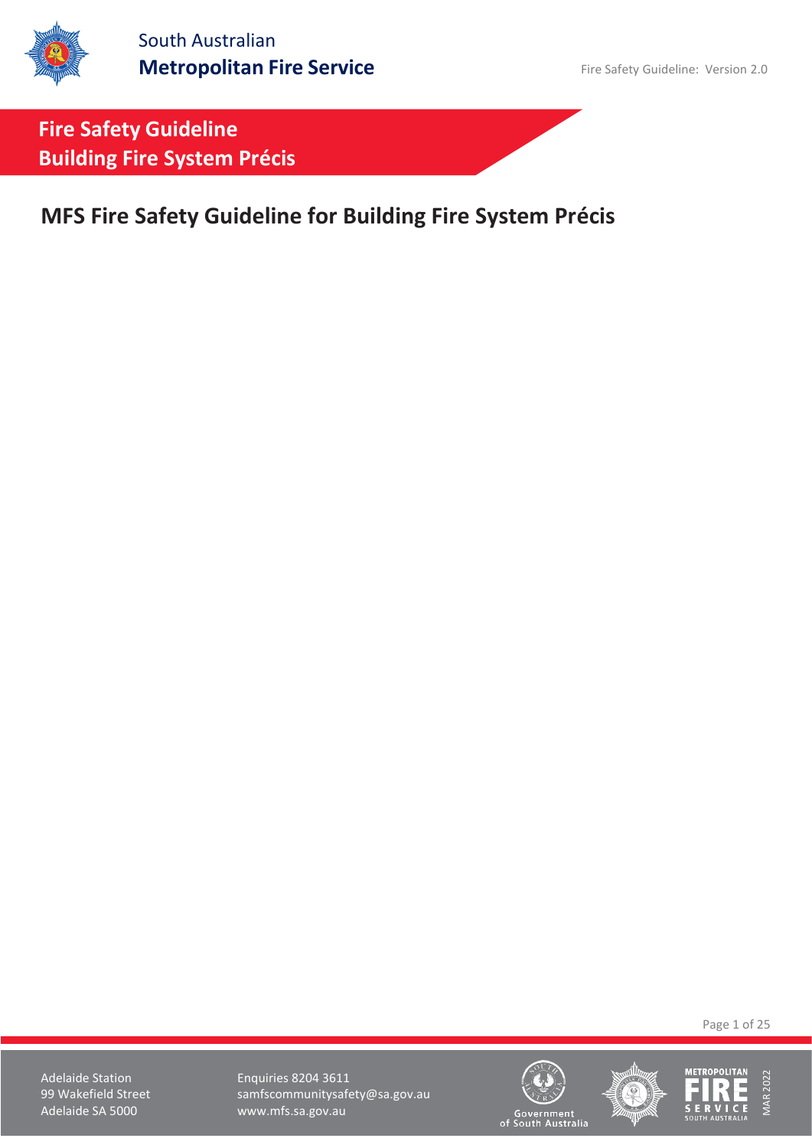**MFS Fire Safety Guideline for Building Fire System Précis**

Page 1 of 25

Adelaide Station **Enquiries 8204 3611** 99 Wakefield Street samfscommunitysafety@sa.gov.au<br>Adelaide SA 5000 www.mfs.sa.gov.au www.mfs.sa.gov.au





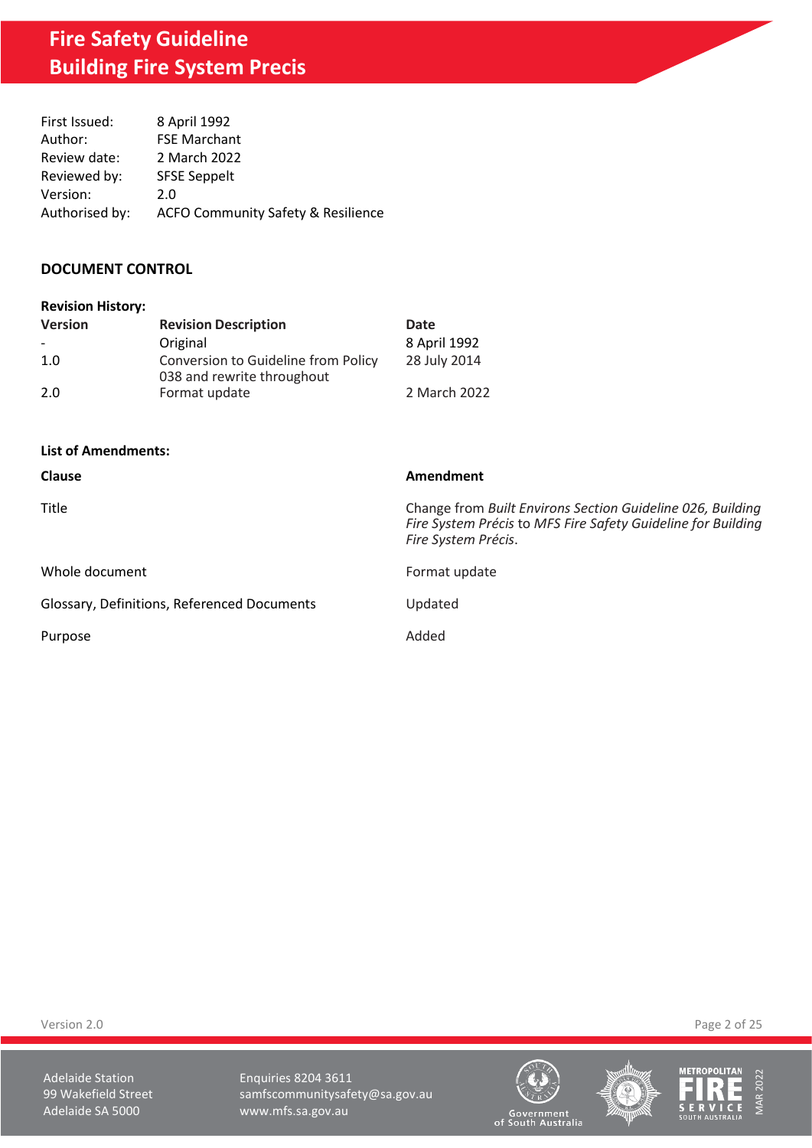| First Issued:  | 8 April 1992                                  |
|----------------|-----------------------------------------------|
| Author:        | <b>FSE Marchant</b>                           |
| Review date:   | 2 March 2022                                  |
| Reviewed by:   | <b>SFSE Seppelt</b>                           |
| Version:       | 2.0                                           |
| Authorised by: | <b>ACFO Community Safety &amp; Resilience</b> |

## **DOCUMENT CONTROL**

| <b>Version</b> | <b>Revision Description</b>                                       | Date         |
|----------------|-------------------------------------------------------------------|--------------|
|                | Original                                                          | 8 April 1992 |
| 1.0            | Conversion to Guideline from Policy<br>038 and rewrite throughout | 28 July 2014 |
| 2.0            | Format update                                                     | 2 March 2022 |

### **List of Amendments:**

| <b>Clause</b>                               | Amendment                                                                                                                                         |
|---------------------------------------------|---------------------------------------------------------------------------------------------------------------------------------------------------|
| <b>Title</b>                                | Change from Built Environs Section Guideline 026, Building<br>Fire System Précis to MFS Fire Safety Guideline for Building<br>Fire System Précis. |
| Whole document                              | Format update                                                                                                                                     |
| Glossary, Definitions, Referenced Documents | Updated                                                                                                                                           |
| Purpose                                     | Added                                                                                                                                             |

Version 2.0 Page 2 of 25

Adelaide Station **Enquiries 8204 3611** 99 Wakefield Street samfscommunitysafety@sa.gov.au<br>Adelaide SA 5000 www.mfs.sa.gov.au www.mfs.sa.gov.au





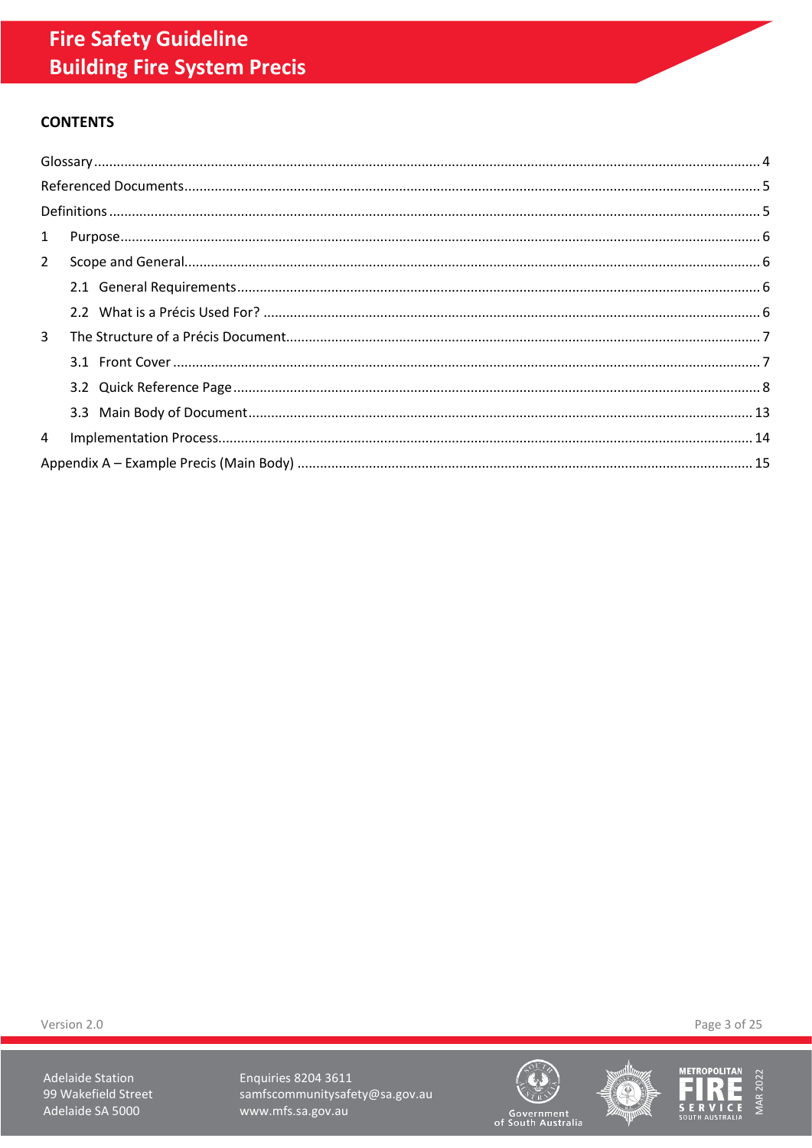# **CONTENTS**

| $2^{\circ}$    |  |
|----------------|--|
|                |  |
|                |  |
| $\overline{3}$ |  |
|                |  |
|                |  |
|                |  |
| $\overline{4}$ |  |
|                |  |

Version 2.0

**Adelaide Station** 99 Wakefield Street Adelaide SA 5000

Enquiries 8204 3611 samfscommunitysafety@sa.gov.au www.mfs.sa.gov.au







Page 3 of 25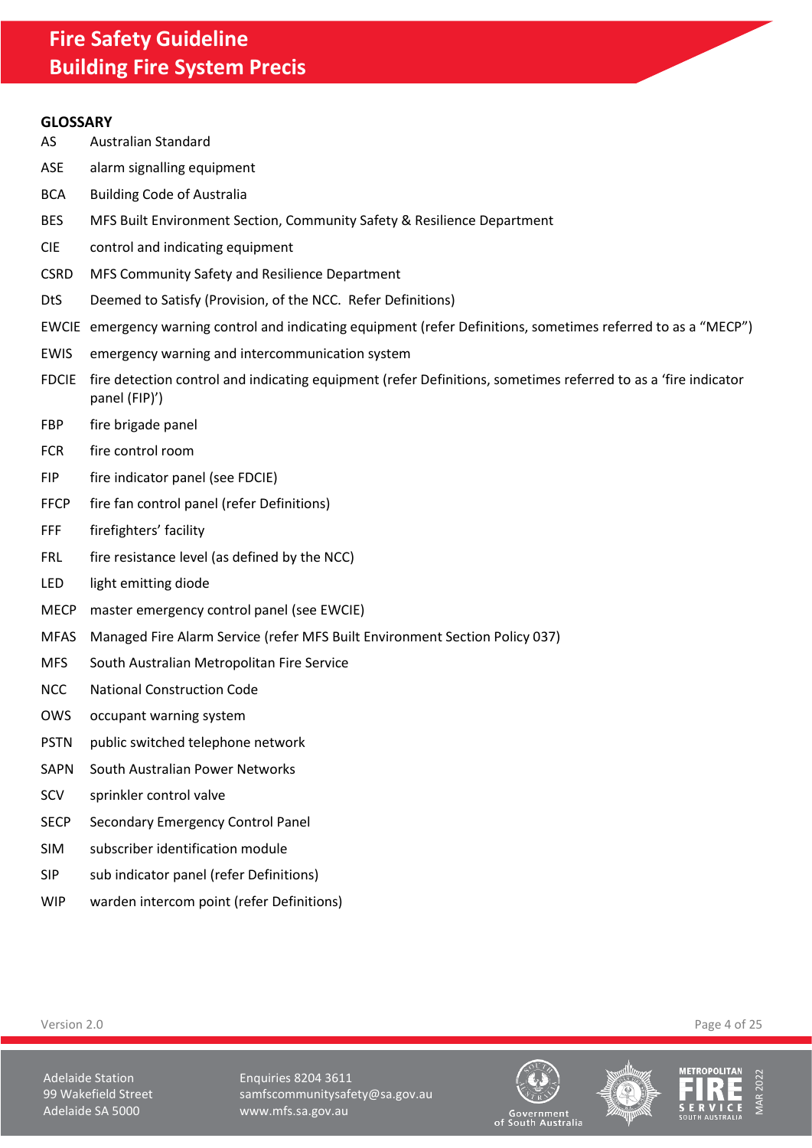### <span id="page-3-0"></span>**GLOSSARY**

- AS Australian Standard
- ASE alarm signalling equipment
- BCA Building Code of Australia
- BES MFS Built Environment Section, Community Safety & Resilience Department
- CIE control and indicating equipment
- CSRD MFS Community Safety and Resilience Department
- DtS Deemed to Satisfy (Provision, of the NCC. Refer Definitions)
- EWCIE emergency warning control and indicating equipment (refer Definitions, sometimes referred to as a "MECP")
- EWIS emergency warning and intercommunication system
- FDCIE fire detection control and indicating equipment (refer Definitions, sometimes referred to as a 'fire indicator panel (FIP)')
- FBP fire brigade panel
- FCR fire control room
- FIP fire indicator panel (see FDCIE)
- FFCP fire fan control panel (refer Definitions)
- FFF firefighters' facility
- FRL fire resistance level (as defined by the NCC)
- LED light emitting diode
- MECP master emergency control panel (see EWCIE)
- MFAS Managed Fire Alarm Service (refer MFS Built Environment Section Policy 037)
- MFS South Australian Metropolitan Fire Service
- NCC National Construction Code
- OWS occupant warning system
- PSTN public switched telephone network
- SAPN South Australian Power Networks
- SCV sprinkler control valve
- SECP Secondary Emergency Control Panel
- SIM subscriber identification module
- SIP sub indicator panel (refer Definitions)
- WIP warden intercom point (refer Definitions)

Version 2.0 Page 4 of 25

Adelaide Station **Enquiries 8204 3611** 99 Wakefield Street samfscommunitysafety@sa.gov.au Adelaide SA 5000 www.mfs.sa.gov.au





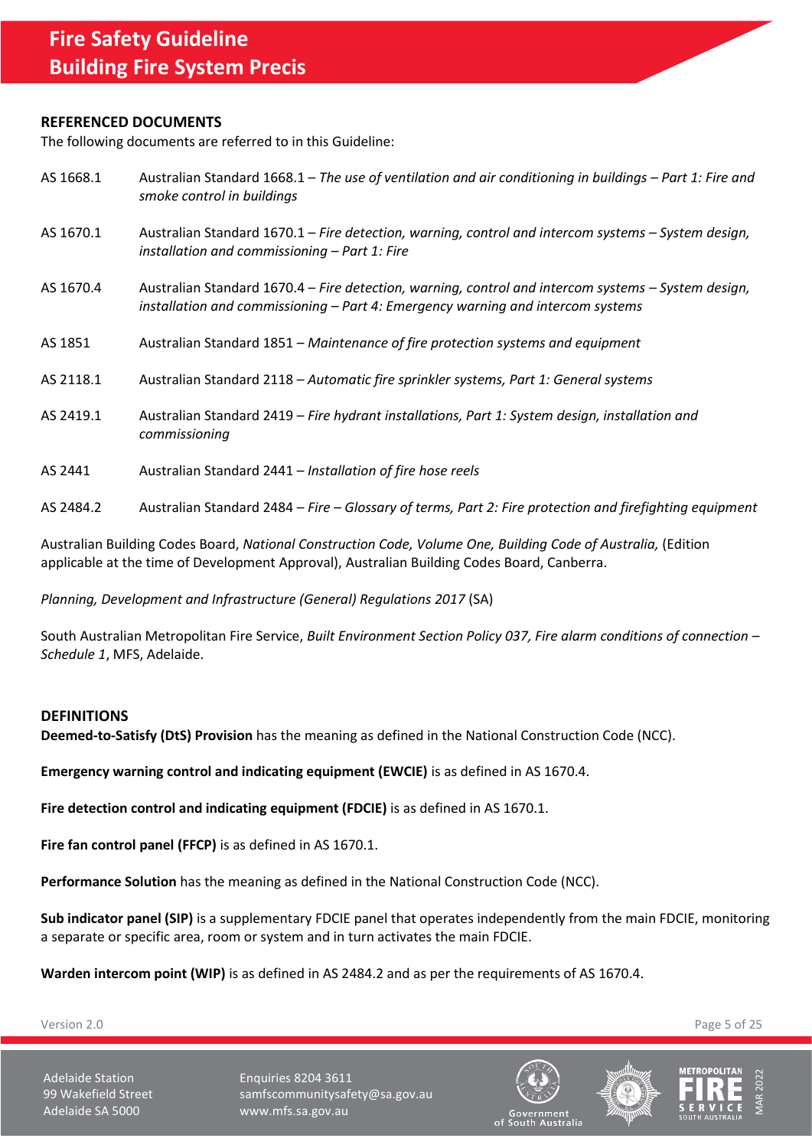### <span id="page-4-0"></span>**REFERENCED DOCUMENTS**

The following documents are referred to in this Guideline:

| AS 1668.1 | Australian Standard 1668.1 - The use of ventilation and air conditioning in buildings - Part 1: Fire and<br>smoke control in buildings                                                   |
|-----------|------------------------------------------------------------------------------------------------------------------------------------------------------------------------------------------|
| AS 1670.1 | Australian Standard 1670.1 – Fire detection, warning, control and intercom systems – System design,<br>installation and commissioning $-$ Part 1: Fire                                   |
| AS 1670.4 | Australian Standard 1670.4 – Fire detection, warning, control and intercom systems – System design,<br>installation and commissioning $-$ Part 4: Emergency warning and intercom systems |
| AS 1851   | Australian Standard 1851 – Maintenance of fire protection systems and equipment                                                                                                          |
| AS 2118.1 | Australian Standard 2118 - Automatic fire sprinkler systems, Part 1: General systems                                                                                                     |
| AS 2419.1 | Australian Standard 2419 - Fire hydrant installations, Part 1: System design, installation and<br>commissioning                                                                          |
| AS 2441   | Australian Standard 2441 - Installation of fire hose reels                                                                                                                               |

AS 2484.2 Australian Standard 2484 – *Fire – Glossary of terms, Part 2: Fire protection and firefighting equipment*

Australian Building Codes Board, *National Construction Code, Volume One, Building Code of Australia,* (Edition applicable at the time of Development Approval), Australian Building Codes Board, Canberra.

*Planning, Development and Infrastructure (General) Regulations 2017* (SA)

South Australian Metropolitan Fire Service, *Built Environment Section Policy 037, Fire alarm conditions of connection – Schedule 1*, MFS, Adelaide.

### <span id="page-4-1"></span>**DEFINITIONS**

**Deemed-to-Satisfy (DtS) Provision** has the meaning as defined in the National Construction Code (NCC).

**Emergency warning control and indicating equipment (EWCIE)** is as defined in AS 1670.4.

**Fire detection control and indicating equipment (FDCIE)** is as defined in AS 1670.1.

**Fire fan control panel (FFCP)** is as defined in AS 1670.1.

**Performance Solution** has the meaning as defined in the National Construction Code (NCC).

**Sub indicator panel (SIP)** is a supplementary FDCIE panel that operates independently from the main FDCIE, monitoring a separate or specific area, room or system and in turn activates the main FDCIE.

**Warden intercom point (WIP)** is as defined in AS 2484.2 and as per the requirements of AS 1670.4.

Version 2.0 Page 5 of 25

Adelaide Station **Enquiries 8204 3611** 99 Wakefield Street samfscommunitysafety@sa.gov.au Adelaide SA 5000 www.mfs.sa.gov.au





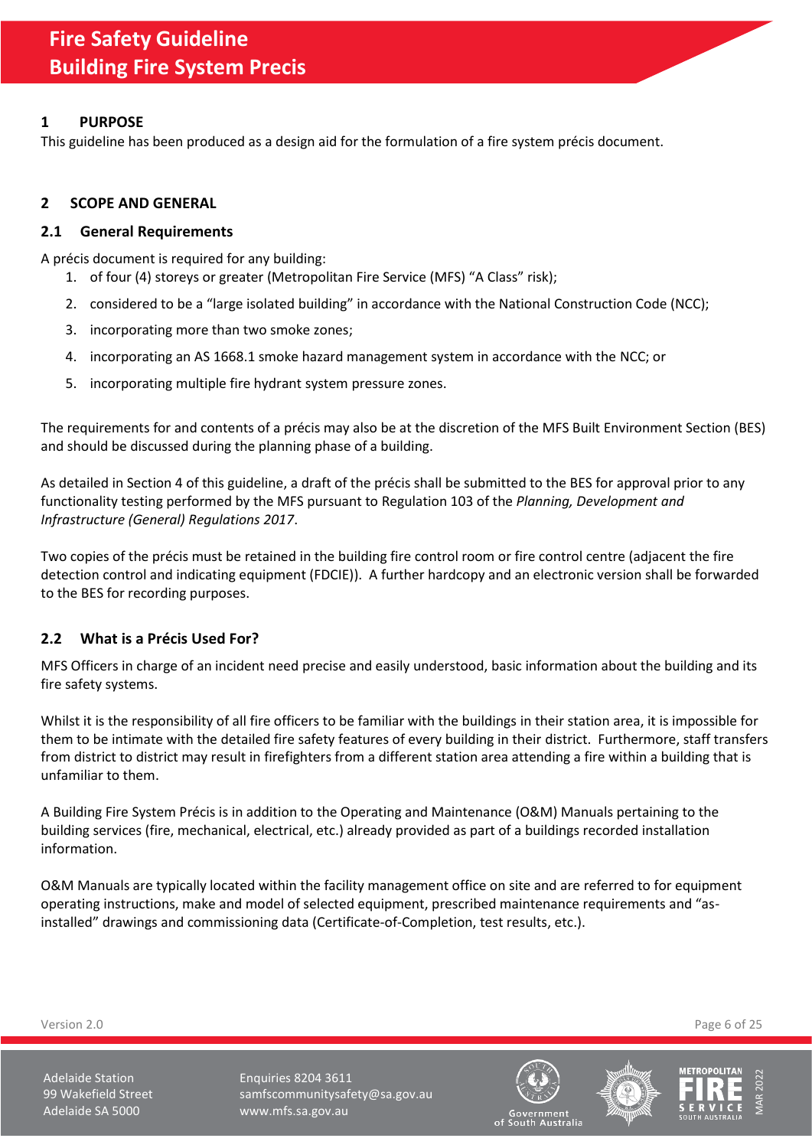# <span id="page-5-0"></span>**1 PURPOSE**

This guideline has been produced as a design aid for the formulation of a fire system précis document.

# <span id="page-5-1"></span>**2 SCOPE AND GENERAL**

## <span id="page-5-2"></span>**2.1 General Requirements**

A précis document is required for any building:

- 1. of four (4) storeys or greater (Metropolitan Fire Service (MFS) "A Class" risk);
- 2. considered to be a "large isolated building" in accordance with the National Construction Code (NCC);
- 3. incorporating more than two smoke zones;
- 4. incorporating an AS 1668.1 smoke hazard management system in accordance with the NCC; or
- 5. incorporating multiple fire hydrant system pressure zones.

The requirements for and contents of a précis may also be at the discretion of the MFS Built Environment Section (BES) and should be discussed during the planning phase of a building.

As detailed in Sectio[n 4](#page-13-0) of this guideline, a draft of the précis shall be submitted to the BES for approval prior to any functionality testing performed by the MFS pursuant to Regulation 103 of the *Planning, Development and Infrastructure (General) Regulations 2017*.

Two copies of the précis must be retained in the building fire control room or fire control centre (adjacent the fire detection control and indicating equipment (FDCIE)). A further hardcopy and an electronic version shall be forwarded to the BES for recording purposes.

# <span id="page-5-3"></span>**2.2 What is a Précis Used For?**

MFS Officers in charge of an incident need precise and easily understood, basic information about the building and its fire safety systems.

Whilst it is the responsibility of all fire officers to be familiar with the buildings in their station area, it is impossible for them to be intimate with the detailed fire safety features of every building in their district. Furthermore, staff transfers from district to district may result in firefighters from a different station area attending a fire within a building that is unfamiliar to them.

A Building Fire System Précis is in addition to the Operating and Maintenance (O&M) Manuals pertaining to the building services (fire, mechanical, electrical, etc.) already provided as part of a buildings recorded installation information.

O&M Manuals are typically located within the facility management office on site and are referred to for equipment operating instructions, make and model of selected equipment, prescribed maintenance requirements and "asinstalled" drawings and commissioning data (Certificate-of-Completion, test results, etc.).

Version 2.0 Page 6 of 25

Adelaide Station **Enquiries 8204 3611** 99 Wakefield Street samfscommunitysafety@sa.gov.au Adelaide SA 5000 www.mfs.sa.gov.au





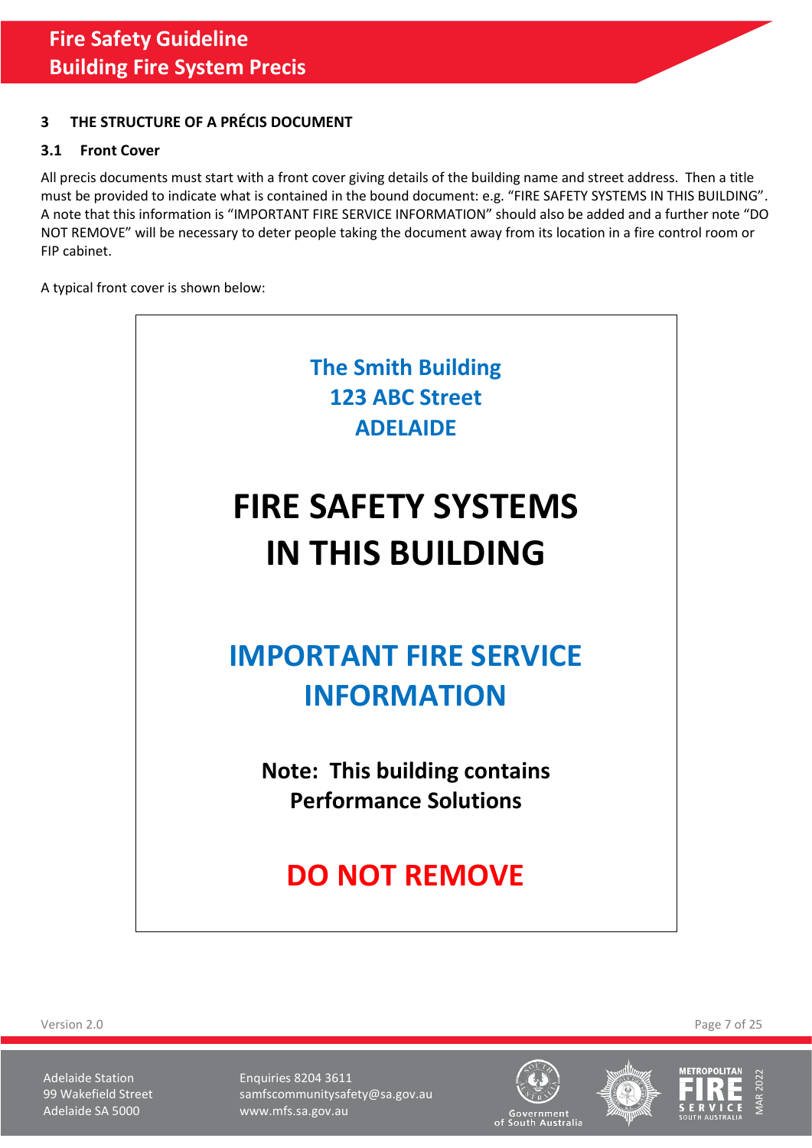# <span id="page-6-0"></span>**3 THE STRUCTURE OF A PRÉCIS DOCUMENT**

# <span id="page-6-1"></span>**3.1 Front Cover**

All precis documents must start with a front cover giving details of the building name and street address. Then a title must be provided to indicate what is contained in the bound document: e.g. "FIRE SAFETY SYSTEMS IN THIS BUILDING". A note that this information is "IMPORTANT FIRE SERVICE INFORMATION" should also be added and a further note "DO NOT REMOVE" will be necessary to deter people taking the document away from its location in a fire control room or FIP cabinet.

A typical front cover is shown below:



Version 2.0 Page 7 of 25

Adelaide Station **Enquiries 8204 3611** 99 Wakefield Street samfscommunitysafety@sa.gov.au Adelaide SA 5000 www.mfs.sa.gov.au





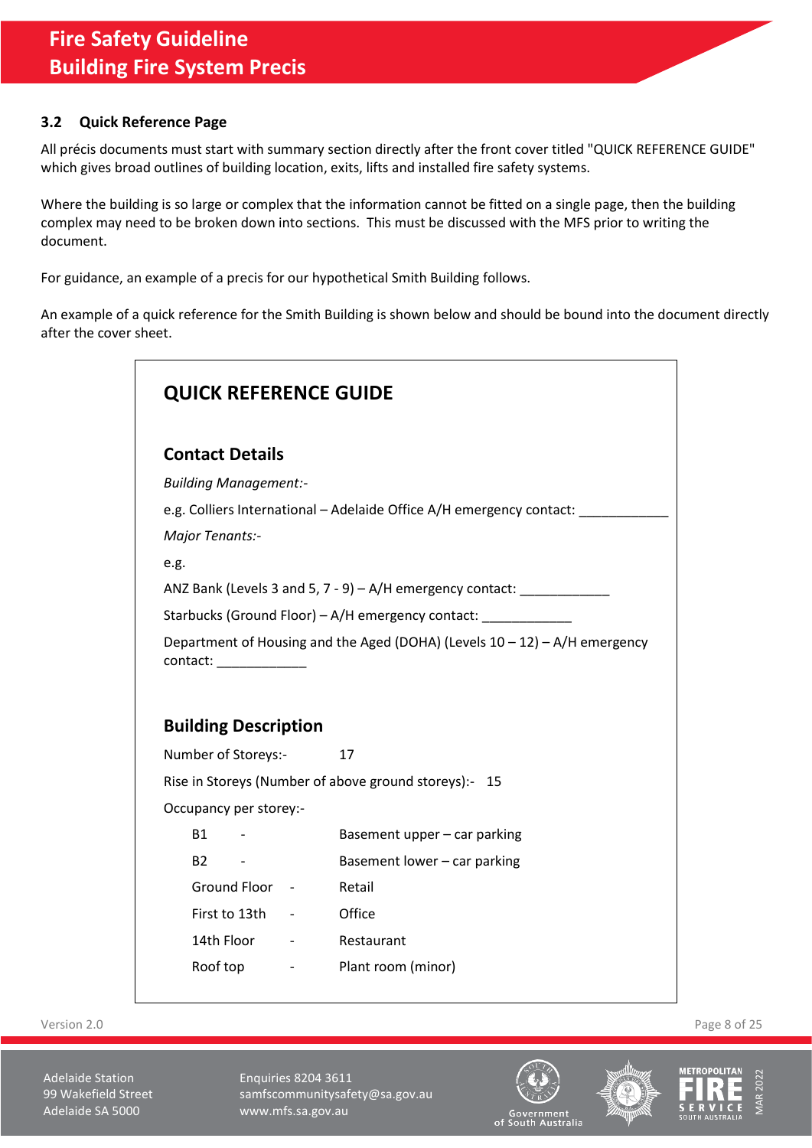## <span id="page-7-0"></span>**3.2 Quick Reference Page**

All précis documents must start with summary section directly after the front cover titled "QUICK REFERENCE GUIDE" which gives broad outlines of building location, exits, lifts and installed fire safety systems.

Where the building is so large or complex that the information cannot be fitted on a single page, then the building complex may need to be broken down into sections. This must be discussed with the MFS prior to writing the document.

For guidance, an example of a precis for our hypothetical Smith Building follows.

An example of a quick reference for the Smith Building is shown below and should be bound into the document directly after the cover sheet.

| <b>QUICK REFERENCE GUIDE</b>                                                                           |                                                                               |  |  |  |
|--------------------------------------------------------------------------------------------------------|-------------------------------------------------------------------------------|--|--|--|
| <b>Contact Details</b>                                                                                 |                                                                               |  |  |  |
| <b>Building Management:-</b>                                                                           |                                                                               |  |  |  |
|                                                                                                        | e.g. Colliers International - Adelaide Office A/H emergency contact: ________ |  |  |  |
| Major Tenants:-                                                                                        |                                                                               |  |  |  |
| e.g.                                                                                                   |                                                                               |  |  |  |
|                                                                                                        | ANZ Bank (Levels 3 and 5, 7 - 9) - A/H emergency contact: ____________        |  |  |  |
|                                                                                                        | Starbucks (Ground Floor) - A/H emergency contact:                             |  |  |  |
| Department of Housing and the Aged (DOHA) (Levels 10 - 12) - A/H emergency<br>contact: _______________ |                                                                               |  |  |  |
| <b>Building Description</b>                                                                            |                                                                               |  |  |  |
| Number of Storeys:-                                                                                    | 17                                                                            |  |  |  |
|                                                                                                        | Rise in Storeys (Number of above ground storeys):- 15                         |  |  |  |
| Occupancy per storey:-                                                                                 |                                                                               |  |  |  |
| <b>B1</b><br>$\sim 100$ km s $^{-1}$                                                                   | Basement upper - car parking                                                  |  |  |  |
| B2<br>$\sim 100$ km s $^{-1}$                                                                          | Basement lower - car parking                                                  |  |  |  |
| Ground Floor - Retail                                                                                  |                                                                               |  |  |  |
| First to 13th - Office                                                                                 |                                                                               |  |  |  |
| 14th Floor - Restaurant                                                                                |                                                                               |  |  |  |
| Roof top                                                                                               | - Plant room (minor)                                                          |  |  |  |

Version 2.0 Page 8 of 25

Adelaide Station **Enquiries 8204 3611** 99 Wakefield Street samfscommunitysafety@sa.gov.au Adelaide SA 5000 www.mfs.sa.gov.au





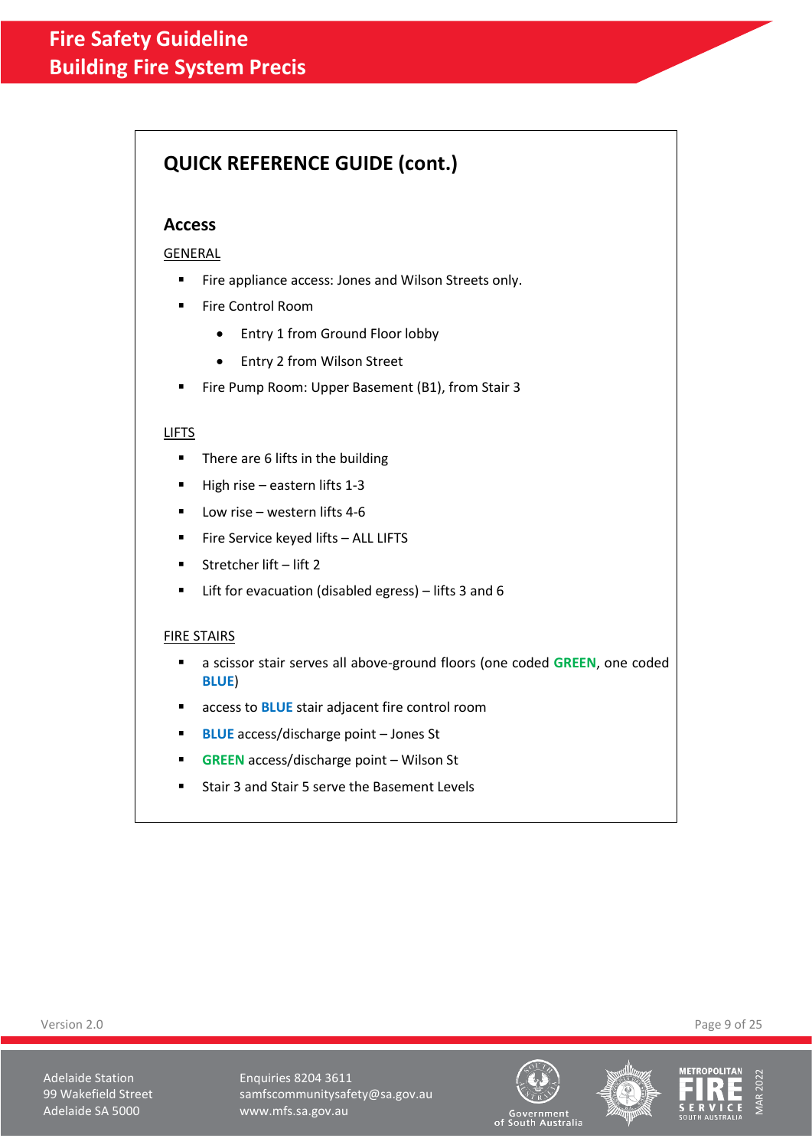# **QUICK REFERENCE GUIDE (cont.)**

# **Access**

GENERAL

- Fire appliance access: Jones and Wilson Streets only.
- Fire Control Room
	- Entry 1 from Ground Floor lobby
	- Entry 2 from Wilson Street
- Fire Pump Room: Upper Basement (B1), from Stair 3

## LIFTS

- There are 6 lifts in the building
- High rise eastern lifts 1-3
- Low rise western lifts 4-6
- Fire Service keyed lifts ALL LIFTS
- Stretcher lift lift 2
- Lift for evacuation (disabled egress) lifts 3 and 6

### FIRE STAIRS

- a scissor stair serves all above-ground floors (one coded GREEN, one coded **BLUE**)
- access to **BLUE** stair adjacent fire control room
- **BLUE** access/discharge point Jones St
- **GREEN** access/discharge point Wilson St
- Stair 3 and Stair 5 serve the Basement Levels

Adelaide Station **Enquiries 8204 3611** 99 Wakefield Street samfscommunitysafety@sa.gov.au Adelaide SA 5000 www.mfs.sa.gov.au







Government<br>of South Australia

Version 2.0 Page 9 of 25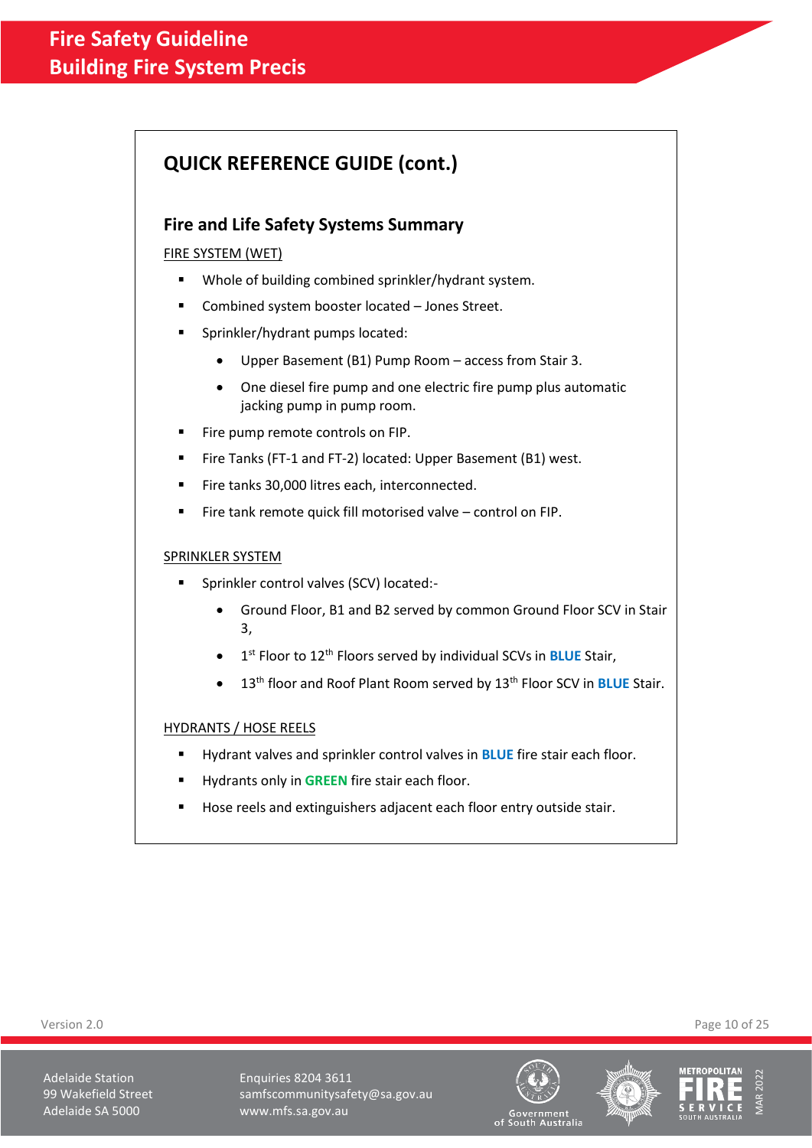# **QUICK REFERENCE GUIDE (cont.)**

# **Fire and Life Safety Systems Summary**

## FIRE SYSTEM (WET)

- Whole of building combined sprinkler/hydrant system.
- Combined system booster located Jones Street.
- Sprinkler/hydrant pumps located:
	- Upper Basement (B1) Pump Room access from Stair 3.
	- One diesel fire pump and one electric fire pump plus automatic jacking pump in pump room.
- Fire pump remote controls on FIP.
- Fire Tanks (FT-1 and FT-2) located: Upper Basement (B1) west.
- Fire tanks 30,000 litres each, interconnected.
- Fire tank remote quick fill motorised valve control on FIP.

### SPRINKLER SYSTEM

- Sprinkler control valves (SCV) located:-
	- Ground Floor, B1 and B2 served by common Ground Floor SCV in Stair 3,
	- **•** 1<sup>st</sup> Floor to 12<sup>th</sup> Floors served by individual SCVs in **BLUE** Stair,
	- 13th floor and Roof Plant Room served by 13th Floor SCV in **BLUE** Stair.

### HYDRANTS / HOSE REELS

- Hydrant valves and sprinkler control valves in **BLUE** fire stair each floor.
- Hydrants only in **GREEN** fire stair each floor.
- Hose reels and extinguishers adjacent each floor entry outside stair.

Version 2.0 Page 10 of 25

Adelaide Station **Enquiries 8204 3611** 99 Wakefield Street samfscommunitysafety@sa.gov.au Adelaide SA 5000 www.mfs.sa.gov.au





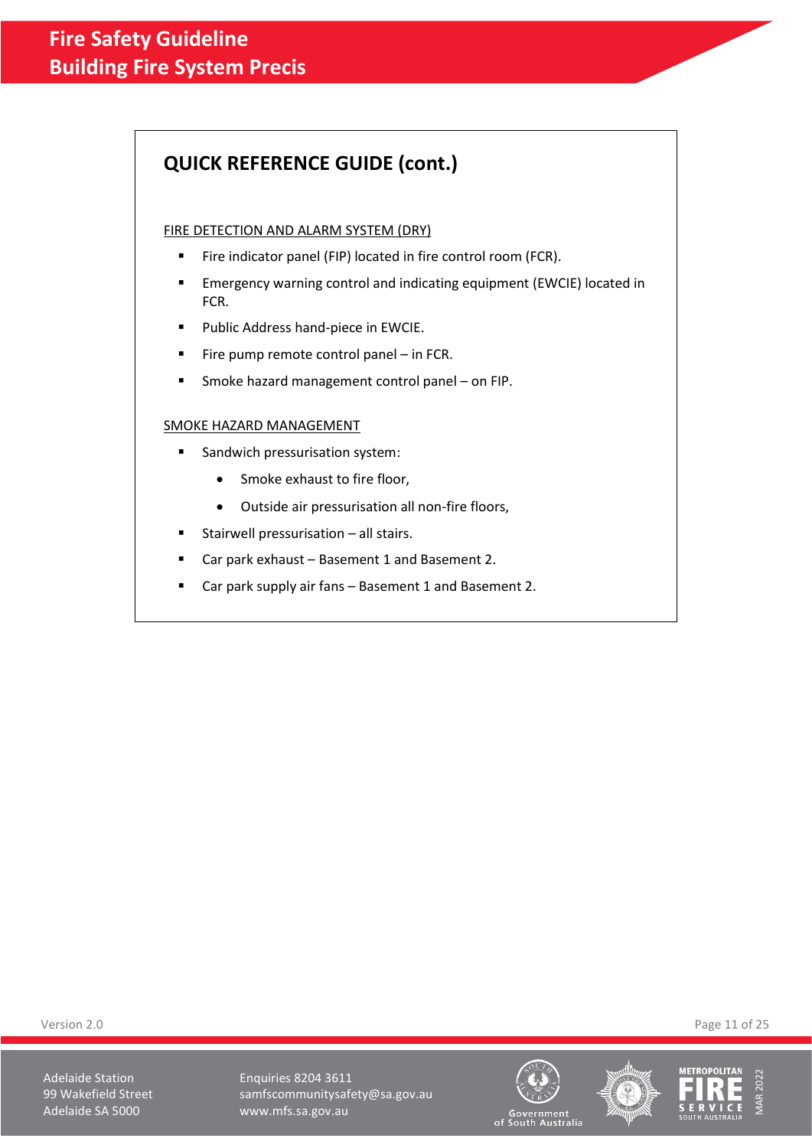# **QUICK REFERENCE GUIDE (cont.)**

### FIRE DETECTION AND ALARM SYSTEM (DRY)

- Fire indicator panel (FIP) located in fire control room (FCR).
- **EXECT EMERGENCY ENDITIES CONTED And INDUCATES ADDET** ENDIRENTIES INCATED in FCR.
- Public Address hand-piece in EWCIE.
- Fire pump remote control panel  $-$  in FCR.
- Smoke hazard management control panel on FIP.

## SMOKE HAZARD MANAGEMENT

- Sandwich pressurisation system:
	- Smoke exhaust to fire floor,
	- Outside air pressurisation all non-fire floors,
- Stairwell pressurisation  $-$  all stairs.
- Car park exhaust Basement 1 and Basement 2.
- Car park supply air fans Basement 1 and Basement 2.

Version 2.0 Page 11 of 25

Adelaide Station **Enquiries 8204 3611** 99 Wakefield Street samfscommunitysafety@sa.gov.au Adelaide SA 5000 www.mfs.sa.gov.au





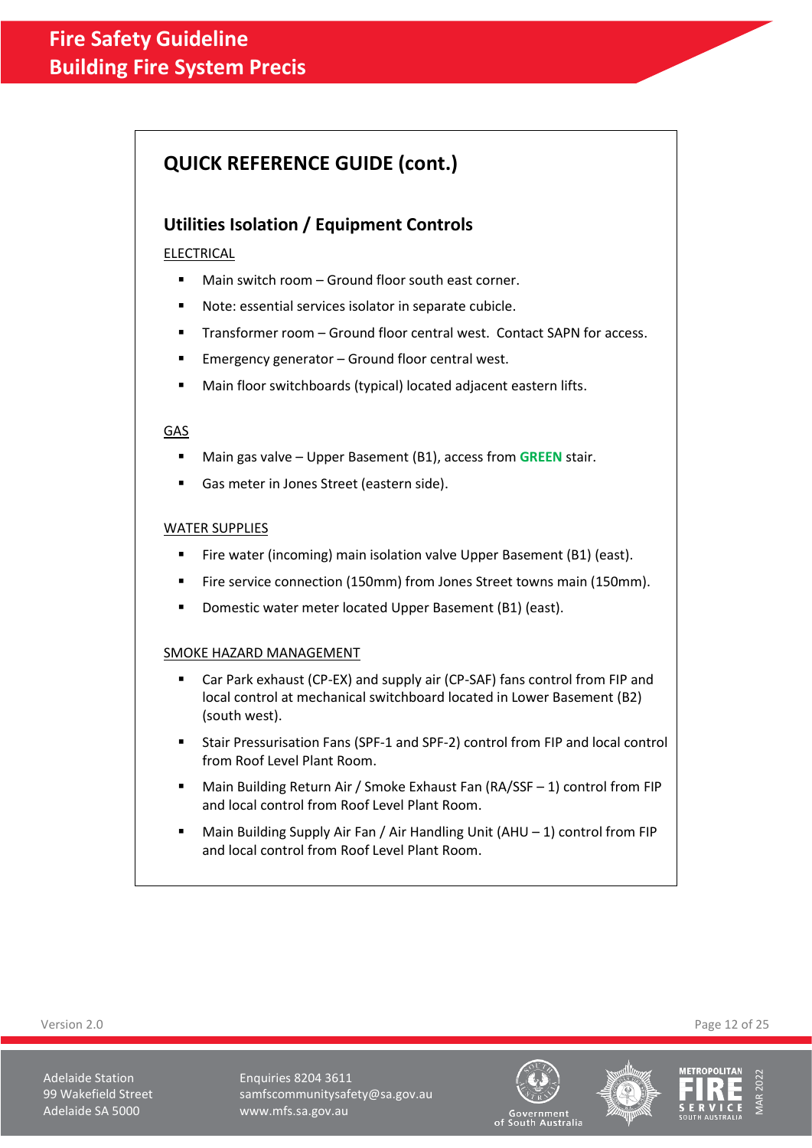# **QUICK REFERENCE GUIDE (cont.)**

# **Utilities Isolation / Equipment Controls**

## ELECTRICAL

- Main switch room Ground floor south east corner.
- Note: essential services isolator in separate cubicle.
- Transformer room Ground floor central west. Contact SAPN for access.
- Emergency generator Ground floor central west.
- Main floor switchboards (typical) located adjacent eastern lifts.

### GAS

- Main gas valve Upper Basement (B1), access from **GREEN** stair.
- Gas meter in Jones Street (eastern side).

### WATER SUPPLIES

- Fire water (incoming) main isolation valve Upper Basement (B1) (east).
- Fire service connection (150mm) from Jones Street towns main (150mm).
- Domestic water meter located Upper Basement (B1) (east).

## SMOKE HAZARD MANAGEMENT

- Car Park exhaust (CP-EX) and supply air (CP-SAF) fans control from FIP and local control at mechanical switchboard located in Lower Basement (B2) (south west).
- Stair Pressurisation Fans (SPF-1 and SPF-2) control from FIP and local control from Roof Level Plant Room.
- Main Building Return Air / Smoke Exhaust Fan (RA/SSF 1) control from FIP and local control from Roof Level Plant Room.
- Main Building Supply Air Fan / Air Handling Unit (AHU  $-$  1) control from FIP and local control from Roof Level Plant Room.

Version 2.0 Page 12 of 25

Adelaide Station **Enquiries 8204 3611** 99 Wakefield Street samfscommunitysafety@sa.gov.au Adelaide SA 5000 www.mfs.sa.gov.au





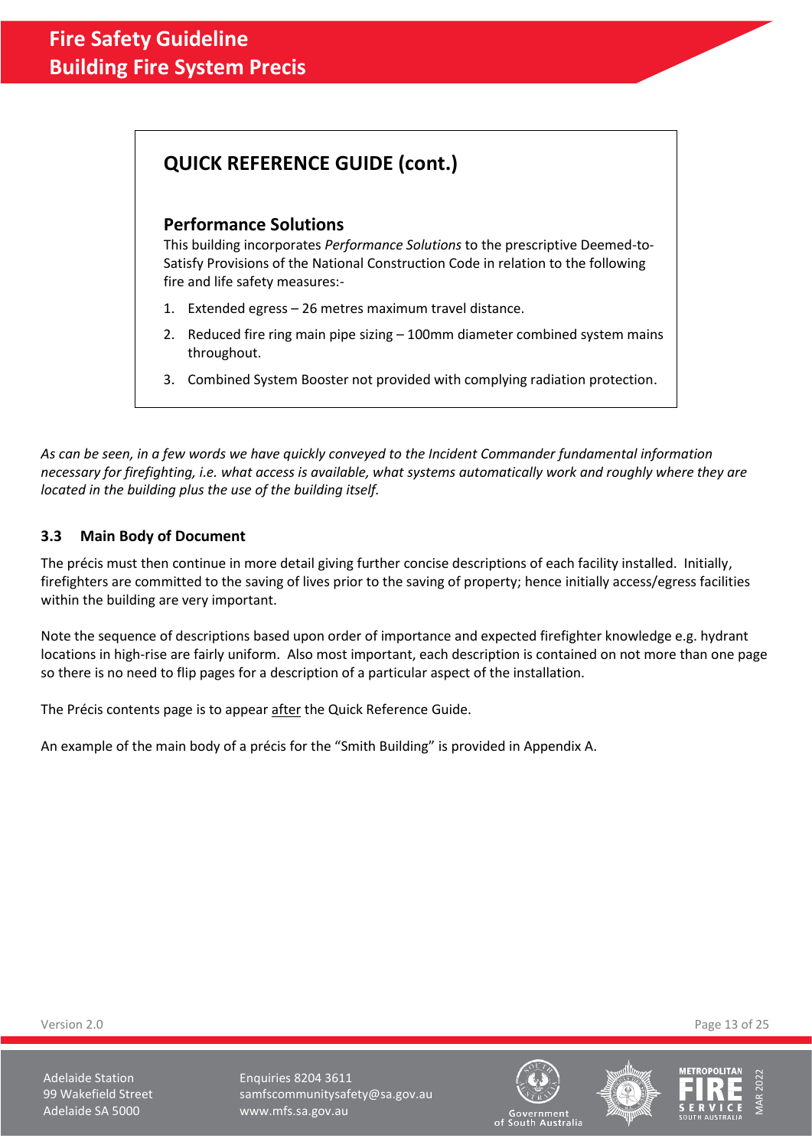# **QUICK REFERENCE GUIDE (cont.)**

# **Performance Solutions**

This building incorporates *Performance Solutions* to the prescriptive Deemed-to-Satisfy Provisions of the National Construction Code in relation to the following fire and life safety measures:-

- 1. Extended egress 26 metres maximum travel distance.
- 2. Reduced fire ring main pipe sizing 100mm diameter combined system mains throughout.
- 3. Combined System Booster not provided with complying radiation protection.

*As can be seen, in a few words we have quickly conveyed to the Incident Commander fundamental information necessary for firefighting, i.e. what access is available, what systems automatically work and roughly where they are located in the building plus the use of the building itself.*

# <span id="page-12-0"></span>**3.3 Main Body of Document**

The précis must then continue in more detail giving further concise descriptions of each facility installed. Initially, firefighters are committed to the saving of lives prior to the saving of property; hence initially access/egress facilities within the building are very important.

Note the sequence of descriptions based upon order of importance and expected firefighter knowledge e.g. hydrant locations in high-rise are fairly uniform. Also most important, each description is contained on not more than one page so there is no need to flip pages for a description of a particular aspect of the installation.

The Précis contents page is to appear after the Quick Reference Guide.

An example of the main body of a précis for the "Smith Building" is provided in Appendix A.

Version 2.0 Page 13 of 25

Adelaide Station **Enquiries 8204 3611** 99 Wakefield Street samfscommunitysafety@sa.gov.au Adelaide SA 5000 www.mfs.sa.gov.au





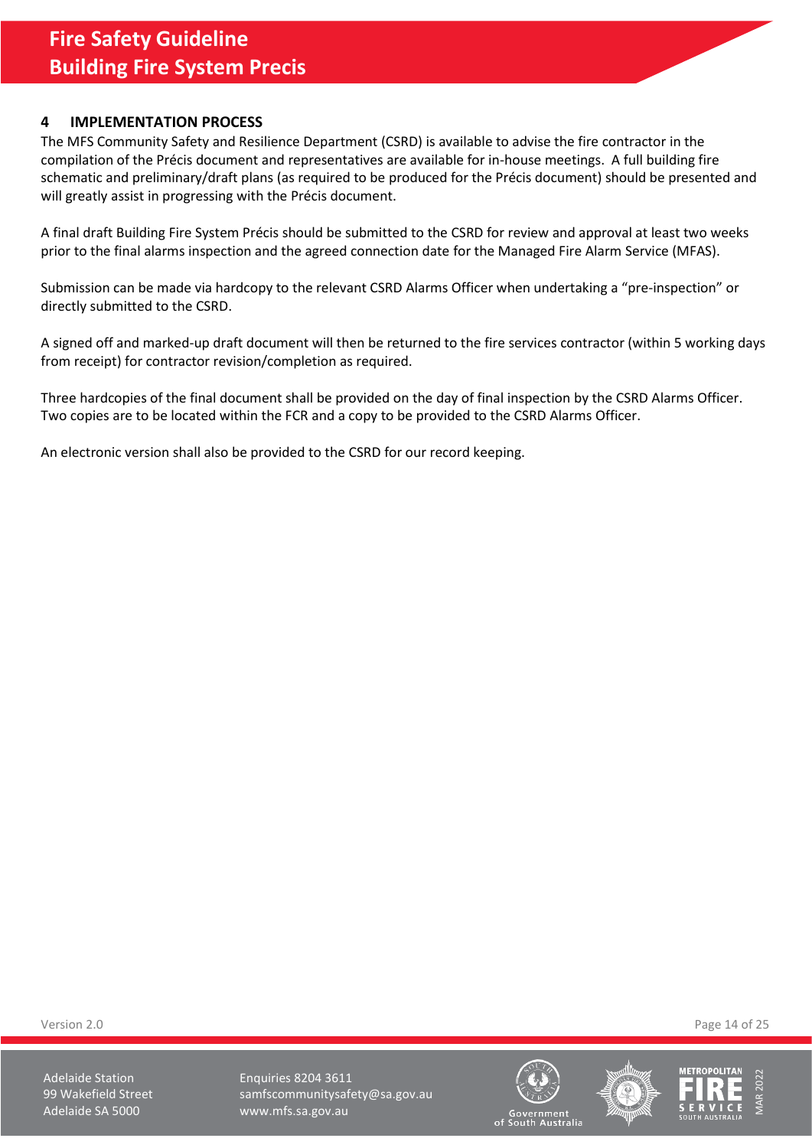## <span id="page-13-0"></span>**4 IMPLEMENTATION PROCESS**

The MFS Community Safety and Resilience Department (CSRD) is available to advise the fire contractor in the compilation of the Précis document and representatives are available for in-house meetings. A full building fire schematic and preliminary/draft plans (as required to be produced for the Précis document) should be presented and will greatly assist in progressing with the Précis document.

A final draft Building Fire System Précis should be submitted to the CSRD for review and approval at least two weeks prior to the final alarms inspection and the agreed connection date for the Managed Fire Alarm Service (MFAS).

Submission can be made via hardcopy to the relevant CSRD Alarms Officer when undertaking a "pre-inspection" or directly submitted to the CSRD.

A signed off and marked-up draft document will then be returned to the fire services contractor (within 5 working days from receipt) for contractor revision/completion as required.

Three hardcopies of the final document shall be provided on the day of final inspection by the CSRD Alarms Officer. Two copies are to be located within the FCR and a copy to be provided to the CSRD Alarms Officer.

An electronic version shall also be provided to the CSRD for our record keeping.

Version 2.0 Page 14 of 25

Adelaide Station **Enquiries 8204 3611** 99 Wakefield Street samfscommunitysafety@sa.gov.au Adelaide SA 5000 www.mfs.sa.gov.au





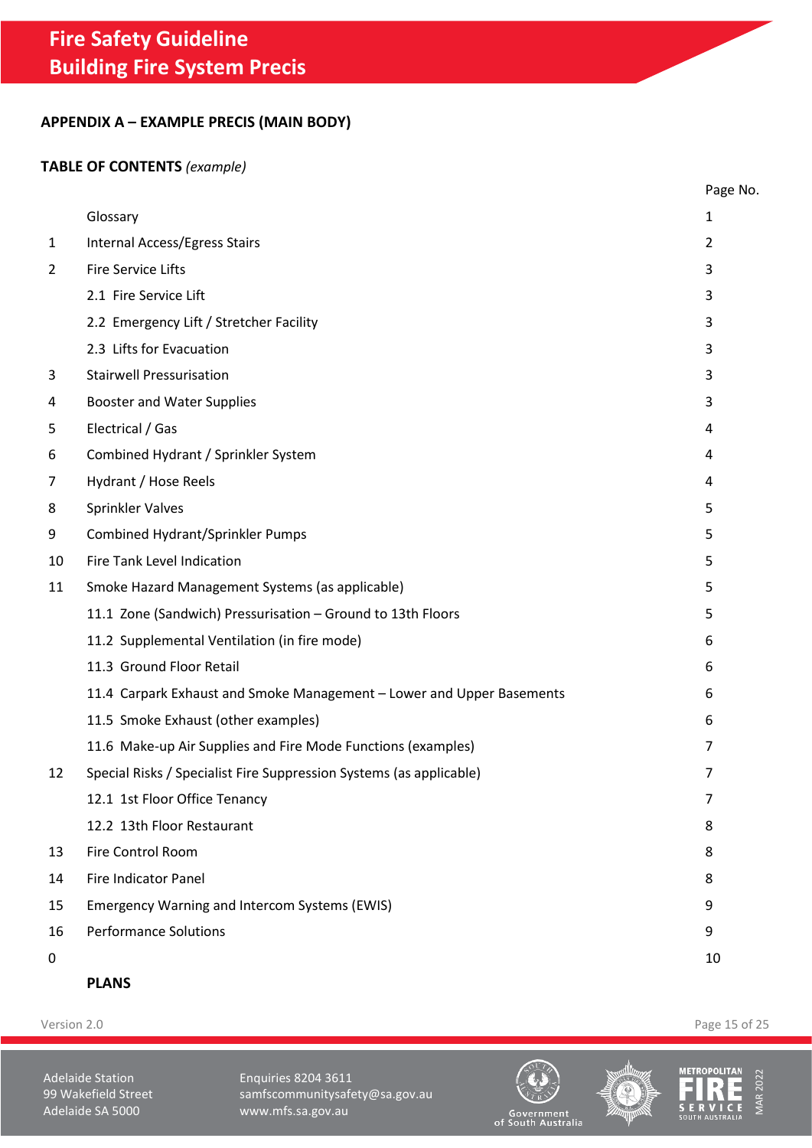# <span id="page-14-0"></span>**APPENDIX A – EXAMPLE PRECIS (MAIN BODY)**

# **TABLE OF CONTENTS** *(example)*

|              |                                                                       | Page No. |
|--------------|-----------------------------------------------------------------------|----------|
|              | Glossary                                                              | 1        |
| $\mathbf{1}$ | Internal Access/Egress Stairs                                         | 2        |
| 2            | <b>Fire Service Lifts</b>                                             | 3        |
|              | 2.1 Fire Service Lift                                                 | 3        |
|              | 2.2 Emergency Lift / Stretcher Facility                               | 3        |
|              | 2.3 Lifts for Evacuation                                              | 3        |
| 3            | <b>Stairwell Pressurisation</b>                                       | 3        |
| 4            | <b>Booster and Water Supplies</b>                                     | 3        |
| 5            | Electrical / Gas                                                      | 4        |
| 6            | Combined Hydrant / Sprinkler System                                   | 4        |
| 7            | Hydrant / Hose Reels                                                  | 4        |
| 8            | Sprinkler Valves                                                      | 5        |
| 9            | <b>Combined Hydrant/Sprinkler Pumps</b>                               | 5        |
| 10           | Fire Tank Level Indication                                            | 5        |
| 11           | Smoke Hazard Management Systems (as applicable)                       | 5        |
|              | 11.1 Zone (Sandwich) Pressurisation - Ground to 13th Floors           | 5        |
|              | 11.2 Supplemental Ventilation (in fire mode)                          | 6        |
|              | 11.3 Ground Floor Retail                                              | 6        |
|              | 11.4 Carpark Exhaust and Smoke Management - Lower and Upper Basements | 6        |
|              | 11.5 Smoke Exhaust (other examples)                                   | 6        |
|              | 11.6 Make-up Air Supplies and Fire Mode Functions (examples)          | 7        |
| 12           | Special Risks / Specialist Fire Suppression Systems (as applicable)   | 7        |
|              | 12.1 1st Floor Office Tenancy                                         | 7        |
|              | 12.2 13th Floor Restaurant                                            | 8        |
| 13           | Fire Control Room                                                     | 8        |
| 14           | Fire Indicator Panel                                                  | 8        |
| 15           | Emergency Warning and Intercom Systems (EWIS)                         | 9        |
| 16           | <b>Performance Solutions</b>                                          | 9        |
| 0            |                                                                       | 10       |
|              |                                                                       |          |

**[PLANS](#page-23-2)**

Version 2.0 Page 15 of 25

Adelaide Station **Enquiries 8204 3611** 99 Wakefield Street samfscommunitysafety@sa.gov.au<br>Adelaide SA 5000 www.mfs.sa.gov.au www.mfs.sa.gov.au





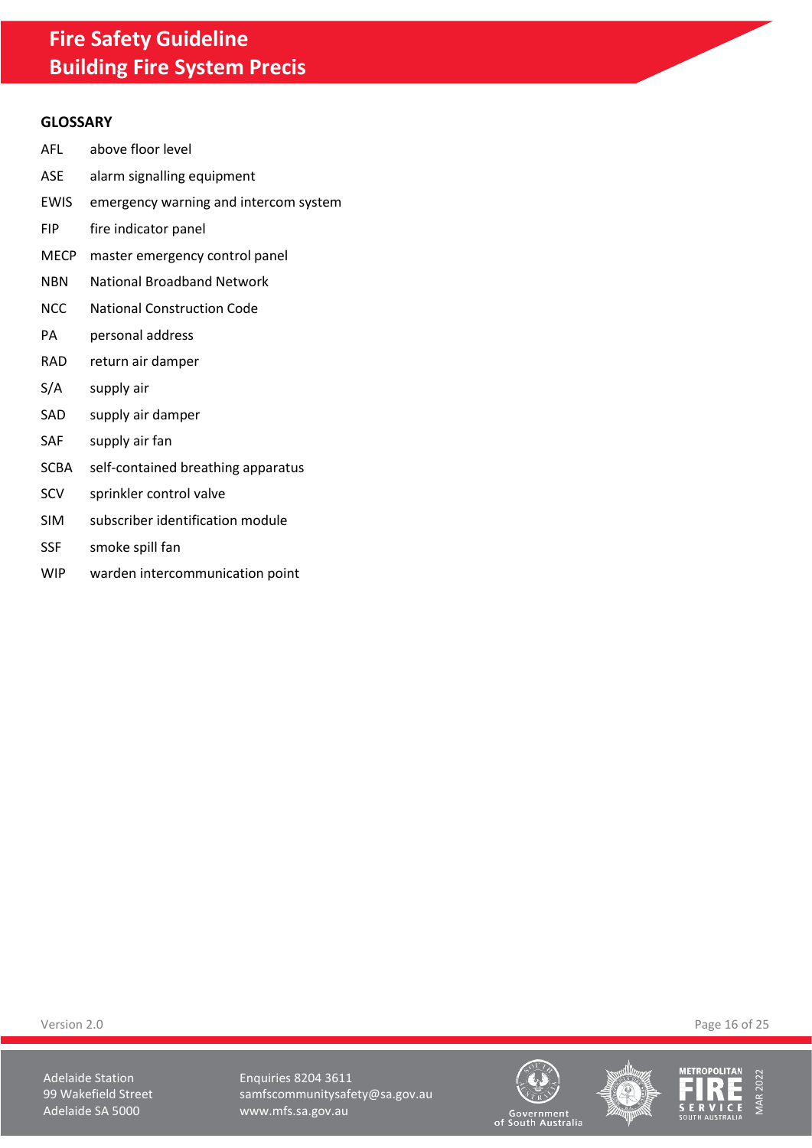### **GLOSSARY**

- AFL above floor level
- ASE alarm signalling equipment
- EWIS emergency warning and intercom system
- FIP fire indicator panel
- MECP master emergency control panel
- NBN National Broadband Network
- NCC National Construction Code
- PA personal address
- RAD return air damper
- S/A supply air
- SAD supply air damper
- SAF supply air fan
- SCBA self-contained breathing apparatus
- SCV sprinkler control valve
- SIM subscriber identification module
- SSF smoke spill fan
- WIP warden intercommunication point

Version 2.0 Page 16 of 25

Adelaide Station **Enquiries 8204 3611** 99 Wakefield Street samfscommunitysafety@sa.gov.au<br>Adelaide SA 5000 www.mfs.sa.gov.au www.mfs.sa.gov.au





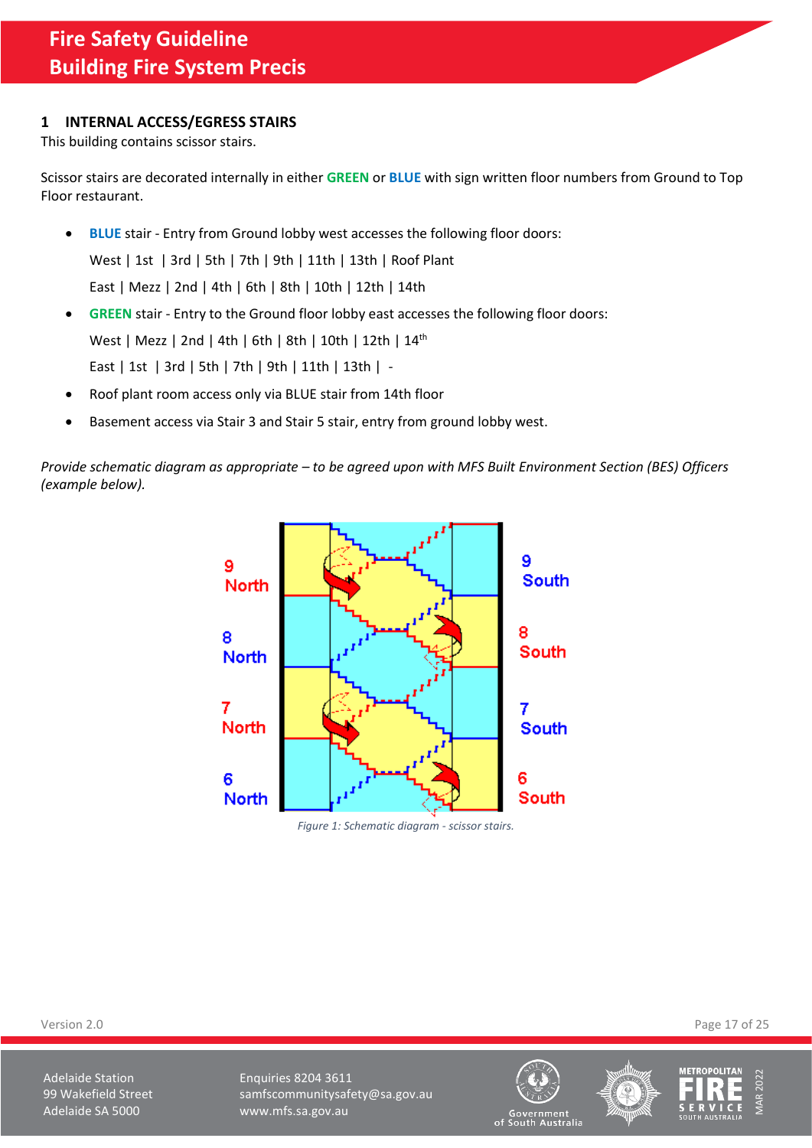## <span id="page-16-0"></span>**1 INTERNAL ACCESS/EGRESS STAIRS**

This building contains scissor stairs.

Scissor stairs are decorated internally in either **GREEN** or **BLUE** with sign written floor numbers from Ground to Top Floor restaurant.

- **BLUE** stair Entry from Ground lobby west accesses the following floor doors: West | 1st | 3rd | 5th | 7th | 9th | 11th | 13th | Roof Plant East | Mezz | 2nd | 4th | 6th | 8th | 10th | 12th | 14th
- **GREEN** stair Entry to the Ground floor lobby east accesses the following floor doors: West | Mezz | 2nd | 4th | 6th | 8th | 10th | 12th | 14<sup>th</sup> East | 1st | 3rd | 5th | 7th | 9th | 11th | 13th | -
- Roof plant room access only via BLUE stair from 14th floor
- Basement access via Stair 3 and Stair 5 stair, entry from ground lobby west.

*Provide schematic diagram as appropriate – to be agreed upon with MFS Built Environment Section (BES) Officers (example below).* 



*Figure 1: Schematic diagram - scissor stairs.*

Version 2.0 Page 17 of 25

Adelaide Station **Enquiries 8204 3611** 99 Wakefield Street samfscommunitysafety@sa.gov.au Adelaide SA 5000 www.mfs.sa.gov.au





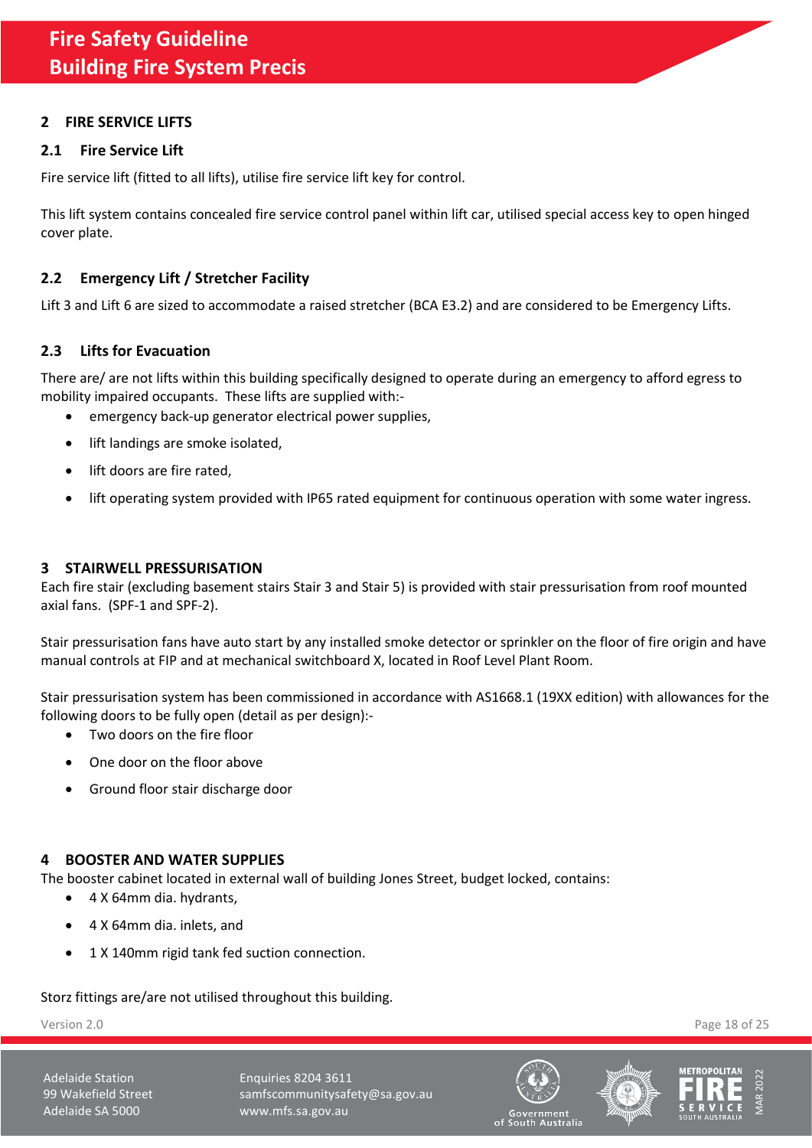# <span id="page-17-0"></span>**2 FIRE SERVICE LIFTS**

# <span id="page-17-1"></span>**2.1 Fire Service Lift**

Fire service lift (fitted to all lifts), utilise fire service lift key for control.

This lift system contains concealed fire service control panel within lift car, utilised special access key to open hinged cover plate.

# <span id="page-17-2"></span>**2.2 Emergency Lift / Stretcher Facility**

Lift 3 and Lift 6 are sized to accommodate a raised stretcher (BCA E3.2) and are considered to be Emergency Lifts.

# <span id="page-17-3"></span>**2.3 Lifts for Evacuation**

There are/ are not lifts within this building specifically designed to operate during an emergency to afford egress to mobility impaired occupants. These lifts are supplied with:-

- emergency back-up generator electrical power supplies,
- lift landings are smoke isolated,
- lift doors are fire rated,
- lift operating system provided with IP65 rated equipment for continuous operation with some water ingress.

## <span id="page-17-4"></span>**3 STAIRWELL PRESSURISATION**

Each fire stair (excluding basement stairs Stair 3 and Stair 5) is provided with stair pressurisation from roof mounted axial fans. (SPF-1 and SPF-2).

Stair pressurisation fans have auto start by any installed smoke detector or sprinkler on the floor of fire origin and have manual controls at FIP and at mechanical switchboard X, located in Roof Level Plant Room.

Stair pressurisation system has been commissioned in accordance with AS1668.1 (19XX edition) with allowances for the following doors to be fully open (detail as per design):-

- Two doors on the fire floor
- One door on the floor above
- Ground floor stair discharge door

## <span id="page-17-5"></span>**4 BOOSTER AND WATER SUPPLIES**

The booster cabinet located in external wall of building Jones Street, budget locked, contains:

- 4 X 64mm dia. hydrants,
- 4 X 64mm dia. inlets, and
- 1 X 140mm rigid tank fed suction connection.

Storz fittings are/are not utilised throughout this building.

Version 2.0 Page 18 of 25

Adelaide Station **Enquiries 8204 3611** 99 Wakefield Street samfscommunitysafety@sa.gov.au Adelaide SA 5000 www.mfs.sa.gov.au





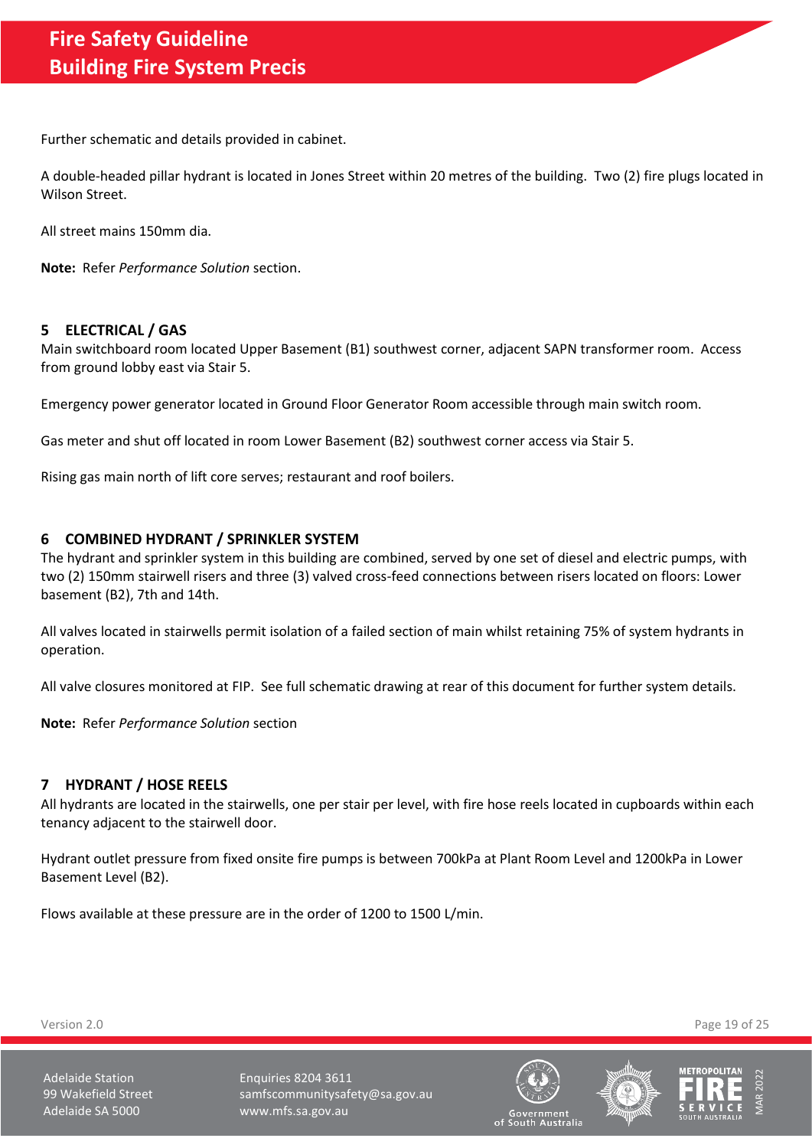Further schematic and details provided in cabinet.

A double-headed pillar hydrant is located in Jones Street within 20 metres of the building. Two (2) fire plugs located in Wilson Street.

All street mains 150mm dia.

**Note:** Refer *Performance Solution* section.

### <span id="page-18-0"></span>**5 ELECTRICAL / GAS**

Main switchboard room located Upper Basement (B1) southwest corner, adjacent SAPN transformer room. Access from ground lobby east via Stair 5.

Emergency power generator located in Ground Floor Generator Room accessible through main switch room.

Gas meter and shut off located in room Lower Basement (B2) southwest corner access via Stair 5.

Rising gas main north of lift core serves; restaurant and roof boilers.

## <span id="page-18-1"></span>**6 COMBINED HYDRANT / SPRINKLER SYSTEM**

The hydrant and sprinkler system in this building are combined, served by one set of diesel and electric pumps, with two (2) 150mm stairwell risers and three (3) valved cross-feed connections between risers located on floors: Lower basement (B2), 7th and 14th.

All valves located in stairwells permit isolation of a failed section of main whilst retaining 75% of system hydrants in operation.

All valve closures monitored at FIP. See full schematic drawing at rear of this document for further system details.

**Note:** Refer *Performance Solution* section

### <span id="page-18-2"></span>**7 HYDRANT / HOSE REELS**

All hydrants are located in the stairwells, one per stair per level, with fire hose reels located in cupboards within each tenancy adjacent to the stairwell door.

Hydrant outlet pressure from fixed onsite fire pumps is between 700kPa at Plant Room Level and 1200kPa in Lower Basement Level (B2).

Flows available at these pressure are in the order of 1200 to 1500 L/min.

Version 2.0 Page 19 of 25

Adelaide Station **Enquiries 8204 3611** 99 Wakefield Street samfscommunitysafety@sa.gov.au Adelaide SA 5000 www.mfs.sa.gov.au







of South Australia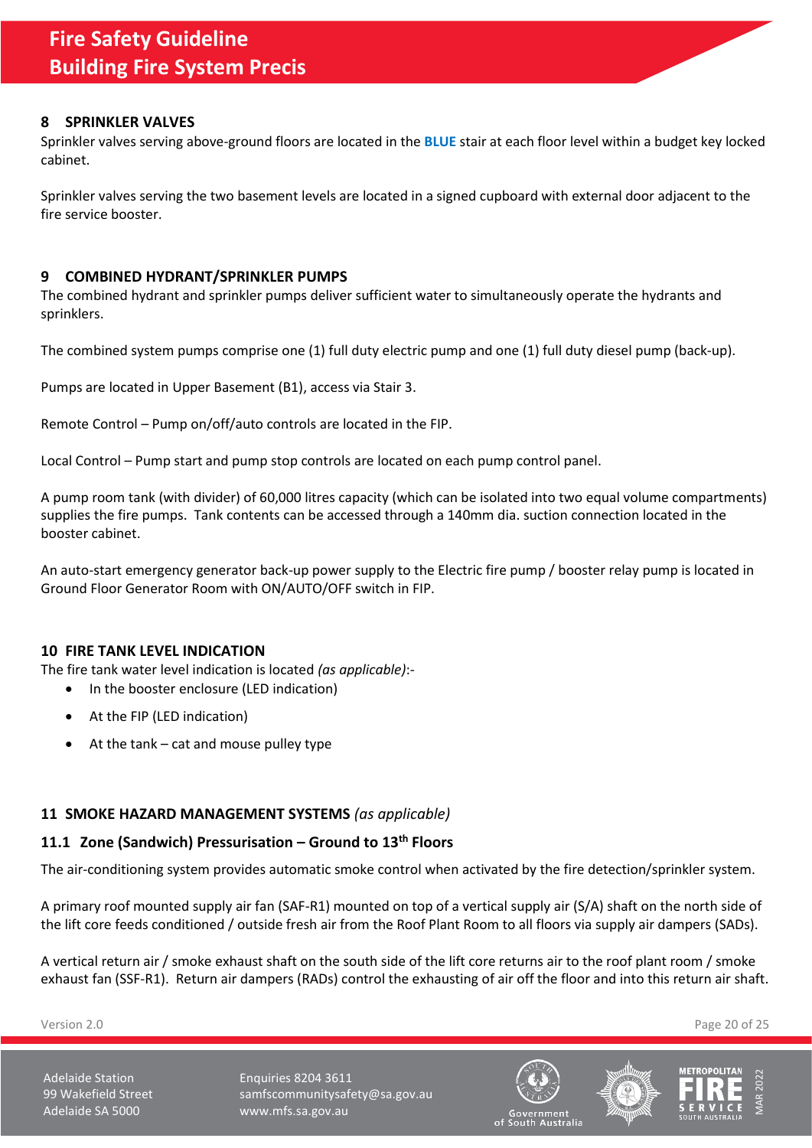## <span id="page-19-0"></span>**8 SPRINKLER VALVES**

Sprinkler valves serving above-ground floors are located in the **BLUE** stair at each floor level within a budget key locked cabinet.

Sprinkler valves serving the two basement levels are located in a signed cupboard with external door adjacent to the fire service booster.

## <span id="page-19-1"></span>**9 COMBINED HYDRANT/SPRINKLER PUMPS**

The combined hydrant and sprinkler pumps deliver sufficient water to simultaneously operate the hydrants and sprinklers.

The combined system pumps comprise one (1) full duty electric pump and one (1) full duty diesel pump (back-up).

Pumps are located in Upper Basement (B1), access via Stair 3.

Remote Control – Pump on/off/auto controls are located in the FIP.

Local Control – Pump start and pump stop controls are located on each pump control panel.

A pump room tank (with divider) of 60,000 litres capacity (which can be isolated into two equal volume compartments) supplies the fire pumps. Tank contents can be accessed through a 140mm dia. suction connection located in the booster cabinet.

An auto-start emergency generator back-up power supply to the Electric fire pump / booster relay pump is located in Ground Floor Generator Room with ON/AUTO/OFF switch in FIP.

### <span id="page-19-2"></span>**10 FIRE TANK LEVEL INDICATION**

The fire tank water level indication is located *(as applicable)*:-

- In the booster enclosure (LED indication)
- At the FIP (LED indication)
- At the  $tank cat$  and mouse pulley type

## <span id="page-19-3"></span>**11 SMOKE HAZARD MANAGEMENT SYSTEMS** *(as applicable)*

# <span id="page-19-4"></span>**11.1 Zone (Sandwich) Pressurisation – Ground to 13th Floors**

The air-conditioning system provides automatic smoke control when activated by the fire detection/sprinkler system.

A primary roof mounted supply air fan (SAF-R1) mounted on top of a vertical supply air (S/A) shaft on the north side of the lift core feeds conditioned / outside fresh air from the Roof Plant Room to all floors via supply air dampers (SADs).

A vertical return air / smoke exhaust shaft on the south side of the lift core returns air to the roof plant room / smoke exhaust fan (SSF-R1). Return air dampers (RADs) control the exhausting of air off the floor and into this return air shaft.

Version 2.0 Page 20 of 25

Adelaide Station **Enquiries 8204 3611** 99 Wakefield Street samfscommunitysafety@sa.gov.au Adelaide SA 5000 www.mfs.sa.gov.au





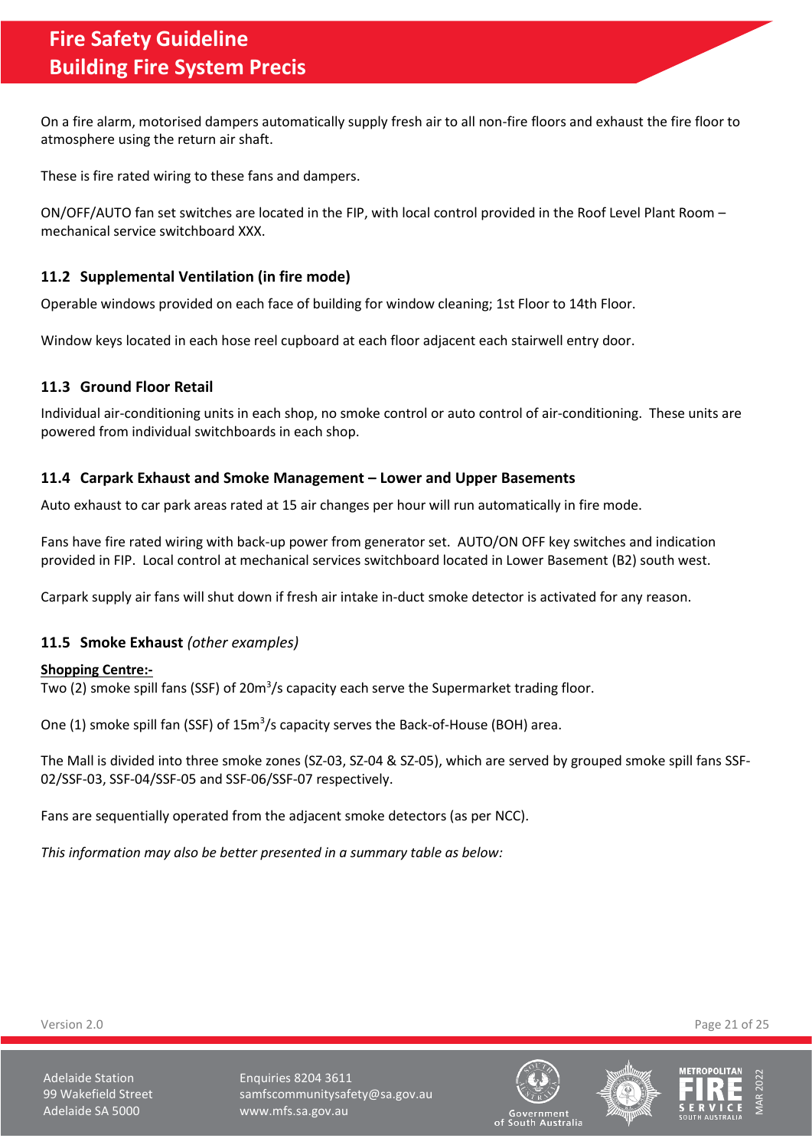On a fire alarm, motorised dampers automatically supply fresh air to all non-fire floors and exhaust the fire floor to atmosphere using the return air shaft.

These is fire rated wiring to these fans and dampers.

ON/OFF/AUTO fan set switches are located in the FIP, with local control provided in the Roof Level Plant Room – mechanical service switchboard XXX.

# <span id="page-20-0"></span>**11.2 Supplemental Ventilation (in fire mode)**

Operable windows provided on each face of building for window cleaning; 1st Floor to 14th Floor.

Window keys located in each hose reel cupboard at each floor adjacent each stairwell entry door.

## <span id="page-20-1"></span>**11.3 Ground Floor Retail**

Individual air-conditioning units in each shop, no smoke control or auto control of air-conditioning. These units are powered from individual switchboards in each shop.

## <span id="page-20-2"></span>**11.4 Carpark Exhaust and Smoke Management – Lower and Upper Basements**

Auto exhaust to car park areas rated at 15 air changes per hour will run automatically in fire mode.

Fans have fire rated wiring with back-up power from generator set. AUTO/ON OFF key switches and indication provided in FIP. Local control at mechanical services switchboard located in Lower Basement (B2) south west.

Carpark supply air fans will shut down if fresh air intake in-duct smoke detector is activated for any reason.

## <span id="page-20-3"></span>**11.5 Smoke Exhaust** *(other examples)*

### **Shopping Centre:-**

Two (2) smoke spill fans (SSF) of 20m<sup>3</sup>/s capacity each serve the Supermarket trading floor.

One (1) smoke spill fan (SSF) of 15m<sup>3</sup>/s capacity serves the Back-of-House (BOH) area.

The Mall is divided into three smoke zones (SZ-03, SZ-04 & SZ-05), which are served by grouped smoke spill fans SSF-02/SSF-03, SSF-04/SSF-05 and SSF-06/SSF-07 respectively.

Fans are sequentially operated from the adjacent smoke detectors (as per NCC).

*This information may also be better presented in a summary table as below:*

Version 2.0 Page 21 of 25







Adelaide Station **Enquiries 8204 3611** 99 Wakefield Street samfscommunitysafety@sa.gov.au Adelaide SA 5000 www.mfs.sa.gov.au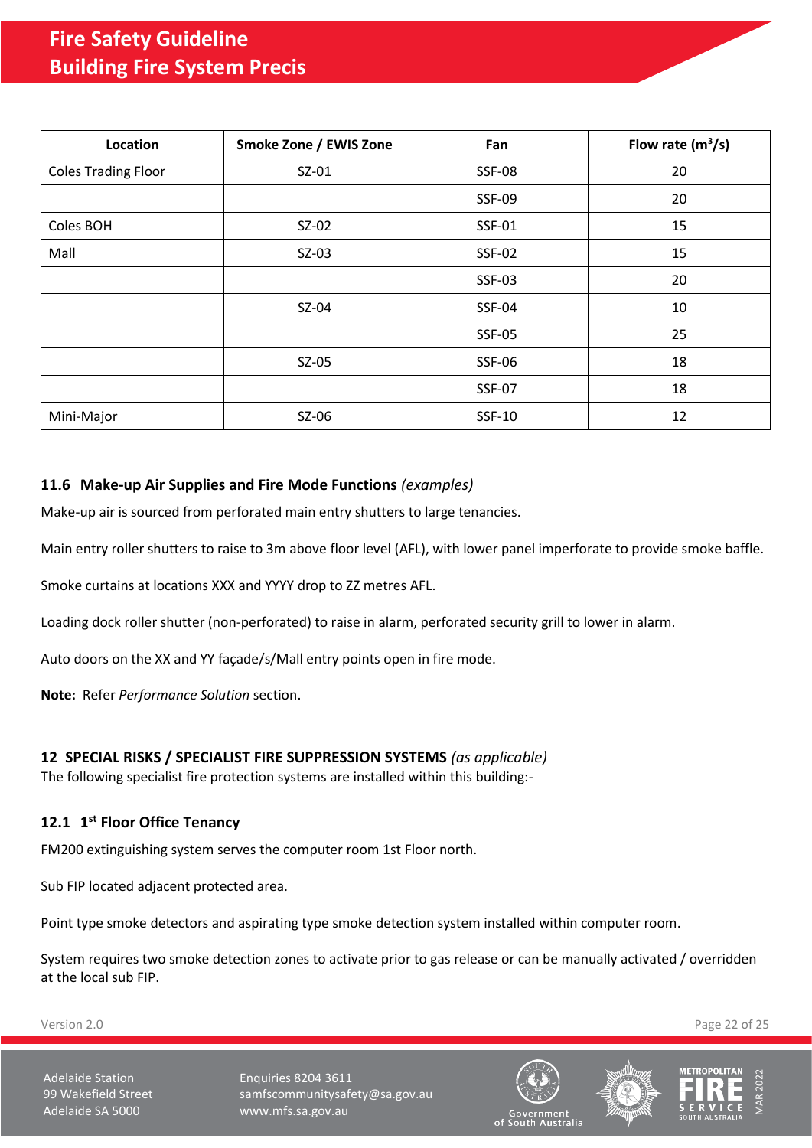| Location                   | Smoke Zone / EWIS Zone | Fan           | Flow rate $(m^3/s)$ |
|----------------------------|------------------------|---------------|---------------------|
| <b>Coles Trading Floor</b> | $SZ-01$                | <b>SSF-08</b> | 20                  |
|                            |                        | <b>SSF-09</b> | 20                  |
| Coles BOH                  | SZ-02                  | SSF-01        | 15                  |
| Mall                       | $SZ-03$                | <b>SSF-02</b> | 15                  |
|                            |                        | <b>SSF-03</b> | 20                  |
|                            | SZ-04                  | <b>SSF-04</b> | 10                  |
|                            |                        | <b>SSF-05</b> | 25                  |
|                            | $SZ-05$                | <b>SSF-06</b> | 18                  |
|                            |                        | <b>SSF-07</b> | 18                  |
| Mini-Major                 | SZ-06                  | SSF-10        | 12                  |

# <span id="page-21-0"></span>**11.6 Make-up Air Supplies and Fire Mode Functions** *(examples)*

Make-up air is sourced from perforated main entry shutters to large tenancies.

Main entry roller shutters to raise to 3m above floor level (AFL), with lower panel imperforate to provide smoke baffle.

Smoke curtains at locations XXX and YYYY drop to ZZ metres AFL.

Loading dock roller shutter (non-perforated) to raise in alarm, perforated security grill to lower in alarm.

Auto doors on the XX and YY façade/s/Mall entry points open in fire mode.

**Note:** Refer *Performance Solution* section.

## <span id="page-21-1"></span>**12 SPECIAL RISKS / SPECIALIST FIRE SUPPRESSION SYSTEMS** *(as applicable)*

The following specialist fire protection systems are installed within this building:-

# <span id="page-21-2"></span>**12.1 1 st Floor Office Tenancy**

FM200 extinguishing system serves the computer room 1st Floor north.

Sub FIP located adjacent protected area.

Point type smoke detectors and aspirating type smoke detection system installed within computer room.

System requires two smoke detection zones to activate prior to gas release or can be manually activated / overridden at the local sub FIP.

Version 2.0 Page 22 of 25

Adelaide Station **Enquiries 8204 3611** 99 Wakefield Street samfscommunitysafety@sa.gov.au Adelaide SA 5000 www.mfs.sa.gov.au





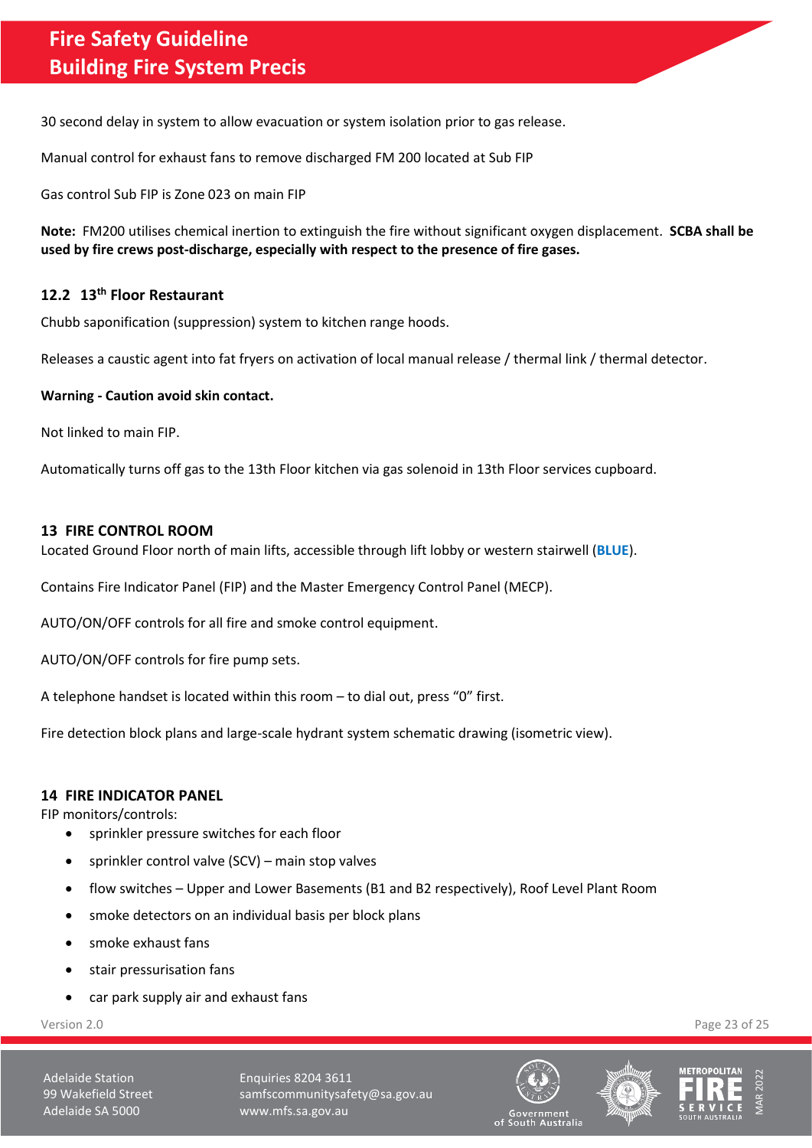30 second delay in system to allow evacuation or system isolation prior to gas release.

Manual control for exhaust fans to remove discharged FM 200 located at Sub FIP

Gas control Sub FIP is Zone 023 on main FIP

**Note:** FM200 utilises chemical inertion to extinguish the fire without significant oxygen displacement. **SCBA shall be used by fire crews post-discharge, especially with respect to the presence of fire gases.**

## <span id="page-22-0"></span>**12.2 13th Floor Restaurant**

Chubb saponification (suppression) system to kitchen range hoods.

Releases a caustic agent into fat fryers on activation of local manual release / thermal link / thermal detector.

### **Warning - Caution avoid skin contact.**

Not linked to main FIP.

Automatically turns off gas to the 13th Floor kitchen via gas solenoid in 13th Floor services cupboard.

### <span id="page-22-1"></span>**13 FIRE CONTROL ROOM**

Located Ground Floor north of main lifts, accessible through lift lobby or western stairwell (**BLUE**).

Contains Fire Indicator Panel (FIP) and the Master Emergency Control Panel (MECP).

AUTO/ON/OFF controls for all fire and smoke control equipment.

AUTO/ON/OFF controls for fire pump sets.

A telephone handset is located within this room – to dial out, press "0" first.

Fire detection block plans and large-scale hydrant system schematic drawing (isometric view).

### <span id="page-22-2"></span>**14 FIRE INDICATOR PANEL**

FIP monitors/controls:

- sprinkler pressure switches for each floor
- sprinkler control valve (SCV) main stop valves
- flow switches Upper and Lower Basements (B1 and B2 respectively), Roof Level Plant Room
- smoke detectors on an individual basis per block plans
- smoke exhaust fans
- stair pressurisation fans
- car park supply air and exhaust fans

Adelaide Station **Enquiries 8204 3611** 99 Wakefield Street samfscommunitysafety@sa.gov.au Adelaide SA 5000 www.mfs.sa.gov.au







Version 2.0 Page 23 of 25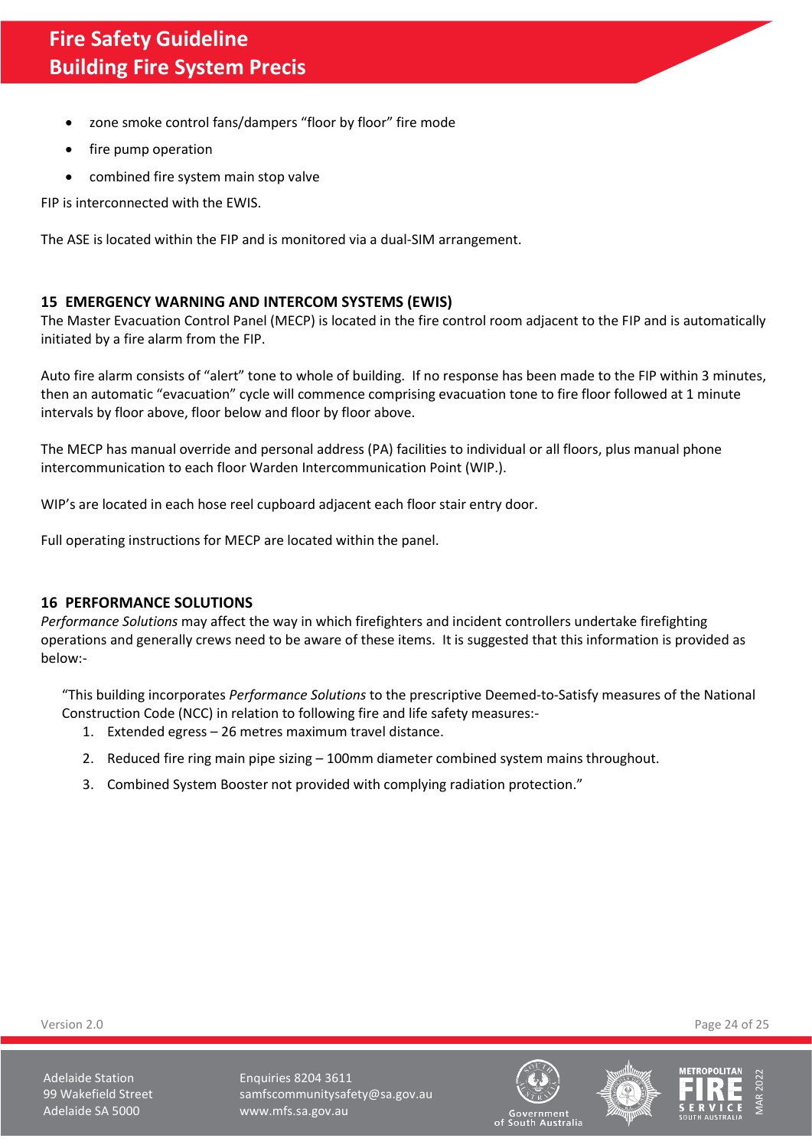- zone smoke control fans/dampers "floor by floor" fire mode
- fire pump operation
- combined fire system main stop valve

FIP is interconnected with the EWIS.

The ASE is located within the FIP and is monitored via a dual-SIM arrangement.

## <span id="page-23-0"></span>**15 EMERGENCY WARNING AND INTERCOM SYSTEMS (EWIS)**

The Master Evacuation Control Panel (MECP) is located in the fire control room adjacent to the FIP and is automatically initiated by a fire alarm from the FIP.

Auto fire alarm consists of "alert" tone to whole of building. If no response has been made to the FIP within 3 minutes, then an automatic "evacuation" cycle will commence comprising evacuation tone to fire floor followed at 1 minute intervals by floor above, floor below and floor by floor above.

The MECP has manual override and personal address (PA) facilities to individual or all floors, plus manual phone intercommunication to each floor Warden Intercommunication Point (WIP.).

WIP's are located in each hose reel cupboard adjacent each floor stair entry door.

Full operating instructions for MECP are located within the panel.

## <span id="page-23-1"></span>**16 PERFORMANCE SOLUTIONS**

*Performance Solutions* may affect the way in which firefighters and incident controllers undertake firefighting operations and generally crews need to be aware of these items. It is suggested that this information is provided as below:-

"This building incorporates *Performance Solutions* to the prescriptive Deemed-to-Satisfy measures of the National Construction Code (NCC) in relation to following fire and life safety measures:-

- 1. Extended egress 26 metres maximum travel distance.
- 2. Reduced fire ring main pipe sizing 100mm diameter combined system mains throughout.
- <span id="page-23-2"></span>3. Combined System Booster not provided with complying radiation protection."

Version 2.0 Page 24 of 25

Adelaide Station **Enquiries 8204 3611** 99 Wakefield Street samfscommunitysafety@sa.gov.au Adelaide SA 5000 www.mfs.sa.gov.au







of South Australia